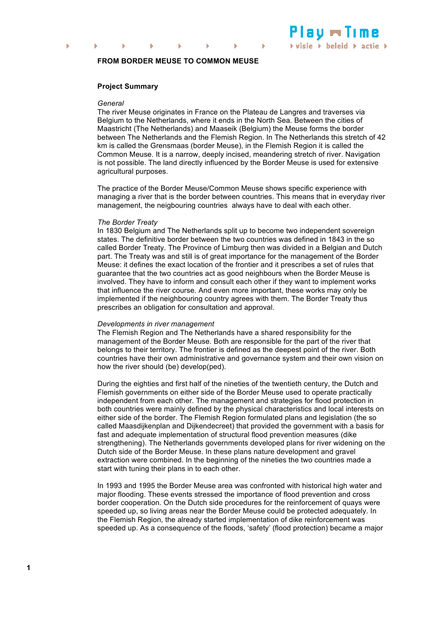

# **FROM BORDER MEUSE TO COMMON MEUSE**

### **Project Summary**

#### *General*

The river Meuse originates in France on the Plateau de Langres and traverses via Belgium to the Netherlands, where it ends in the North Sea. Between the cities of Maastricht (The Netherlands) and Maaseik (Belgium) the Meuse forms the border between The Netherlands and the Flemish Region. In The Netherlands this stretch of 42 km is called the Grensmaas (border Meuse), in the Flemish Region it is called the Common Meuse. It is a narrow, deeply incised, meandering stretch of river. Navigation is not possible. The land directly influenced by the Border Meuse is used for extensive agricultural purposes.

The practice of the Border Meuse/Common Meuse shows specific experience with managing a river that is the border between countries. This means that in everyday river management, the neigbouring countries always have to deal with each other.

## *The Border Treaty*

In 1830 Belgium and The Netherlands split up to become two independent sovereign states. The definitive border between the two countries was defined in 1843 in the so called Border Treaty. The Province of Limburg then was divided in a Belgian and Dutch part. The Treaty was and still is of great importance for the management of the Border Meuse: it defines the exact location of the frontier and it prescribes a set of rules that guarantee that the two countries act as good neighbours when the Border Meuse is involved. They have to inform and consult each other if they want to implement works that influence the river course. And even more important, these works may only be implemented if the neighbouring country agrees with them. The Border Treaty thus prescribes an obligation for consultation and approval.

#### *Developments in river management*

The Flemish Region and The Netherlands have a shared responsibility for the management of the Border Meuse. Both are responsible for the part of the river that belongs to their territory. The frontier is defined as the deepest point of the river. Both countries have their own administrative and governance system and their own vision on how the river should (be) develop(ped).

During the eighties and first half of the nineties of the twentieth century, the Dutch and Flemish governments on either side of the Border Meuse used to operate practically independent from each other. The management and strategies for flood protection in both countries were mainly defined by the physical characteristics and local interests on either side of the border. The Flemish Region formulated plans and legislation (the so called Maasdijkenplan and Dijkendecreet) that provided the government with a basis for fast and adequate implementation of structural flood prevention measures (dike strengthening). The Netherlands governments developed plans for river widening on the Dutch side of the Border Meuse. In these plans nature development and gravel extraction were combined. In the beginning of the nineties the two countries made a start with tuning their plans in to each other.

In 1993 and 1995 the Border Meuse area was confronted with historical high water and major flooding. These events stressed the importance of flood prevention and cross border cooperation. On the Dutch side procedures for the reinforcement of quays were speeded up, so living areas near the Border Meuse could be protected adequately. In the Flemish Region, the already started implementation of dike reinforcement was speeded up. As a consequence of the floods, 'safety' (flood protection) became a major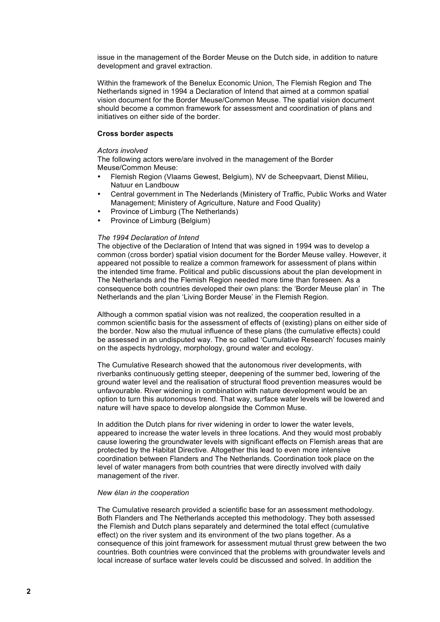issue in the management of the Border Meuse on the Dutch side, in addition to nature development and gravel extraction.

Within the framework of the Benelux Economic Union, The Flemish Region and The Netherlands signed in 1994 a Declaration of Intend that aimed at a common spatial vision document for the Border Meuse/Common Meuse. The spatial vision document should become a common framework for assessment and coordination of plans and initiatives on either side of the border.

## **Cross border aspects**

#### *Actors involved*

The following actors were/are involved in the management of the Border Meuse/Common Meuse:

- Flemish Region (Vlaams Gewest, Belgium), NV de Scheepvaart, Dienst Milieu, Natuur en Landbouw
- Central government in The Nederlands (Ministery of Traffic, Public Works and Water Management; Ministery of Agriculture, Nature and Food Quality)
- Province of Limburg (The Netherlands)
- Province of Limburg (Belgium)

## *The 1994 Declaration of Intend*

The objective of the Declaration of Intend that was signed in 1994 was to develop a common (cross border) spatial vision document for the Border Meuse valley. However, it appeared not possible to realize a common framework for assessment of plans within the intended time frame. Political and public discussions about the plan development in The Netherlands and the Flemish Region needed more time than foreseen. As a consequence both countries developed their own plans: the 'Border Meuse plan' in The Netherlands and the plan 'Living Border Meuse' in the Flemish Region.

Although a common spatial vision was not realized, the cooperation resulted in a common scientific basis for the assessment of effects of (existing) plans on either side of the border. Now also the mutual influence of these plans (the cumulative effects) could be assessed in an undisputed way. The so called 'Cumulative Research' focuses mainly on the aspects hydrology, morphology, ground water and ecology.

The Cumulative Research showed that the autonomous river developments, with riverbanks continuously getting steeper, deepening of the summer bed, lowering of the ground water level and the realisation of structural flood prevention measures would be unfavourable. River widening in combination with nature development would be an option to turn this autonomous trend. That way, surface water levels will be lowered and nature will have space to develop alongside the Common Muse.

In addition the Dutch plans for river widening in order to lower the water levels, appeared to increase the water levels in three locations. And they would most probably cause lowering the groundwater levels with significant effects on Flemish areas that are protected by the Habitat Directive. Altogether this lead to even more intensive coordination between Flanders and The Netherlands. Coordination took place on the level of water managers from both countries that were directly involved with daily management of the river.

#### *New élan in the cooperation*

The Cumulative research provided a scientific base for an assessment methodology. Both Flanders and The Netherlands accepted this methodology. They both assessed the Flemish and Dutch plans separately and determined the total effect (cumulative effect) on the river system and its environment of the two plans together. As a consequence of this joint framework for assessment mutual thrust grew between the two countries. Both countries were convinced that the problems with groundwater levels and local increase of surface water levels could be discussed and solved. In addition the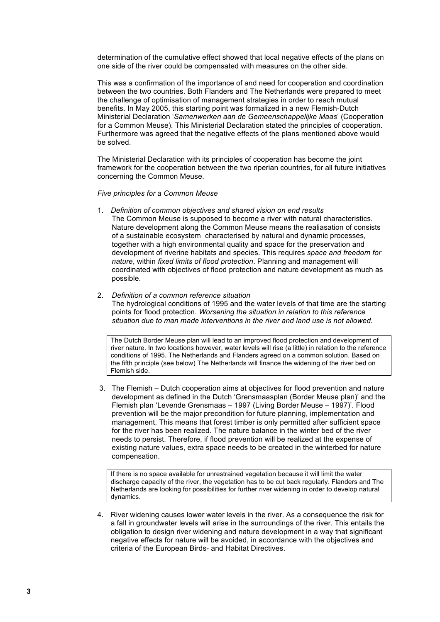determination of the cumulative effect showed that local negative effects of the plans on one side of the river could be compensated with measures on the other side.

This was a confirmation of the importance of and need for cooperation and coordination between the two countries. Both Flanders and The Netherlands were prepared to meet the challenge of optimisation of management strategies in order to reach mutual benefits. In May 2005, this starting point was formalized in a new Flemish-Dutch Ministerial Declaration '*Samenwerken aan de Gemeenschappelijke Maas*' (Cooperation for a Common Meuse). This Ministerial Declaration stated the principles of cooperation. Furthermore was agreed that the negative effects of the plans mentioned above would be solved.

The Ministerial Declaration with its principles of cooperation has become the joint framework for the cooperation between the two riperian countries, for all future initiatives concerning the Common Meuse.

*Five principles for a Common Meuse*

- 1. *Definition of common objectives and shared vision on end results* The Common Meuse is supposed to become a river with natural characteristics. Nature development along the Common Meuse means the realiasation of consists of a sustainable ecosystem characterised by natural and dynamic processes, together with a high environmental quality and space for the preservation and development of riverine habitats and species. This requires *space and freedom for nature*, within *fixed limits of flood protection*. Planning and management will coordinated with objectives of flood protection and nature development as much as possible.
- 2. *Definition of a common reference situation*

The hydrological conditions of 1995 and the water levels of that time are the starting points for flood protection. *Worsening the situation in relation to this reference situation due to man made interventions in the river and land use is not allowed.*

The Dutch Border Meuse plan will lead to an improved flood protection and development of river nature. In two locations however, water levels will rise (a little) in relation to the reference conditions of 1995. The Netherlands and Flanders agreed on a common solution. Based on the fifth principle (see below) The Netherlands will finance the widening of the river bed on Flemish side.

3. The Flemish – Dutch cooperation aims at objectives for flood prevention and nature development as defined in the Dutch 'Grensmaasplan (Border Meuse plan)' and the Flemish plan 'Levende Grensmaas – 1997 (Living Border Meuse – 1997)'. Flood prevention will be the major precondition for future planning, implementation and management. This means that forest timber is only permitted after sufficient space for the river has been realized. The nature balance in the winter bed of the river needs to persist. Therefore, if flood prevention will be realized at the expense of existing nature values, extra space needs to be created in the winterbed for nature compensation.

If there is no space available for unrestrained vegetation because it will limit the water discharge capacity of the river, the vegetation has to be cut back regularly. Flanders and The Netherlands are looking for possibilities for further river widening in order to develop natural dynamics.

4. River widening causes lower water levels in the river. As a consequence the risk for a fall in groundwater levels will arise in the surroundings of the river. This entails the obligation to design river widening and nature development in a way that significant negative effects for nature will be avoided, in accordance with the objectives and criteria of the European Birds- and Habitat Directives.